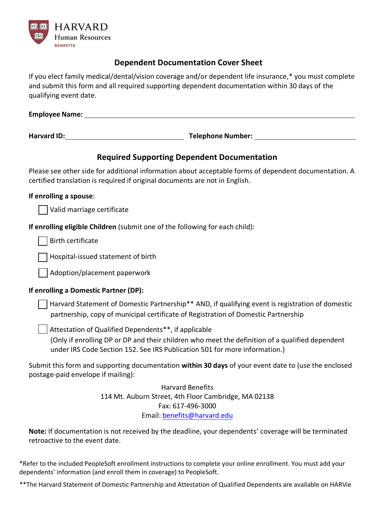

### **Dependent Documentation Cover Sheet**

If you elect family medical/dental/vision coverage and/or dependent life insurance,\* you must complete and submit this form and all required supporting dependent documentation within 30 days of the qualifying event date.

| Employee Name: |  |  |  |
|----------------|--|--|--|
|                |  |  |  |

**Harvard ID: Telephone Number:**

## **Required Supporting Dependent Documentation**

Please see other side for additional information about acceptable forms of dependent documentation. A certified translation is required if original documents are not in English.

#### **If enrolling a spouse**:

| Valid marriage certificate

**If enrolling eligible Children** (submit one of the following for each child):

Birth certificate

□ Hospital-issued statement of birth

 $\vert \ \vert$  Adoption/placement paperwork

#### **If enrolling a Domestic Partner (DP):**

 $\Box$  Harvard Statement of Domestic Partnership\*\* AND, if qualifying event is registration of domestic partnership, copy of municipal certificate of Registration of Domestic Partnership

 $\vert$  Attestation of Qualified Dependents\*\*, if applicable

(Only if enrolling DP or DP and their children who meet the definition of a qualified dependent under IRS Code Section 152. See IRS Publication 501 for more information.)

Submit this form and supporting documentation **within 30 days** of your event date to (use the enclosed postage-paid envelope if mailing):

> Harvard Benefits 114 Mt. Auburn Street, 4th Floor Cambridge, MA 02138 Fax: 617-496-3000 Email: [benefits@harvard.edu](mailto:benefits@harvard.edu)

**Note:** If documentation is not received by the deadline, your dependents' coverage will be terminated retroactive to the event date.

\*Refer to the included PeopleSoft enrollment instructions to complete your online enrollment. You must add your dependents' information (and enroll them in coverage) to PeopleSoft.

\*\*The Harvard Statement of Domestic Partnership and Attestation of Qualified Dependents are available on HARVie